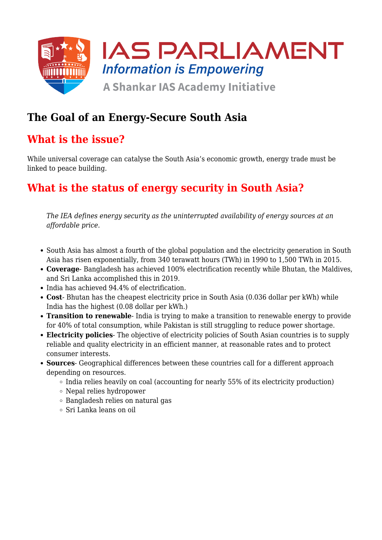

# **The Goal of an Energy-Secure South Asia**

#### **What is the issue?**

While universal coverage can catalyse the South Asia's economic growth, energy trade must be linked to peace building.

# **What is the status of energy security in South Asia?**

*The IEA defines energy security as the uninterrupted availability of energy sources at an affordable price.*

- South Asia has almost a fourth of the global population and the electricity generation in South Asia has risen exponentially, from 340 terawatt hours (TWh) in 1990 to 1,500 TWh in 2015.
- **Coverage** Bangladesh has achieved 100% electrification recently while Bhutan, the Maldives, and Sri Lanka accomplished this in 2019.
- India has achieved 94.4% of electrification.
- **Cost** Bhutan has the cheapest electricity price in South Asia (0.036 dollar per kWh) while India has the highest (0.08 dollar per kWh.)
- **Transition to renewable** India is trying to make a transition to renewable energy to provide for 40% of total consumption, while Pakistan is still struggling to reduce power shortage.
- **Electricity policies** The objective of electricity policies of South Asian countries is to supply reliable and quality electricity in an efficient manner, at reasonable rates and to protect consumer interests.
- **Sources** Geographical differences between these countries call for a different approach depending on resources.
	- $\circ$  India relies heavily on coal (accounting for nearly 55% of its electricity production)
	- Nepal relies hydropower
	- Bangladesh relies on natural gas
	- Sri Lanka leans on oil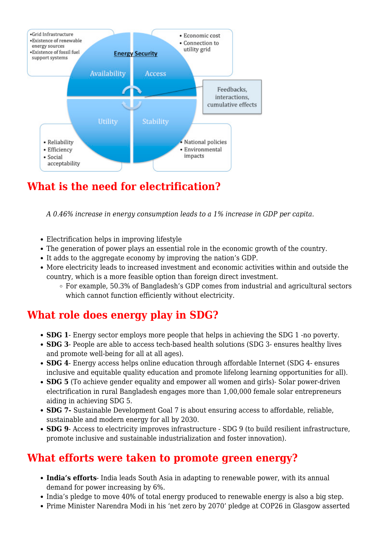

# **What is the need for electrification?**

*A 0.46% increase in energy consumption leads to a 1% increase in GDP per capita.*

- Electrification helps in improving lifestyle
- The generation of power plays an essential role in the economic growth of the country.
- It adds to the aggregate economy by improving the nation's GDP.
- More electricity leads to increased investment and economic activities within and outside the country, which is a more feasible option than foreign direct investment.
	- For example, 50.3% of Bangladesh's GDP comes from industrial and agricultural sectors which cannot function efficiently without electricity.

# **What role does energy play in SDG?**

- **SDG 1** Energy sector employs more people that helps in achieving the SDG 1 -no poverty.
- **SDG 3** People are able to access tech-based health solutions (SDG 3- ensures healthy lives and promote well-being for all at all ages).
- **SDG 4** Energy access helps online education through affordable Internet (SDG 4- ensures inclusive and equitable quality education and promote lifelong learning opportunities for all).
- **SDG 5** (To achieve gender equality and empower all women and girls)- Solar power-driven electrification in rural Bangladesh engages more than 1,00,000 female solar entrepreneurs aiding in achieving SDG 5.
- **SDG 7-** Sustainable Development Goal 7 is about ensuring access to affordable, reliable, sustainable and modern energy for all by 2030.
- **SDG 9** Access to electricity improves infrastructure SDG 9 (to build resilient infrastructure, promote inclusive and sustainable industrialization and foster innovation).

# **What efforts were taken to promote green energy?**

- **India's efforts** India leads South Asia in adapting to renewable power, with its annual demand for power increasing by 6%.
- India's pledge to move 40% of total energy produced to renewable energy is also a big step.
- Prime Minister Narendra Modi in his 'net zero by 2070' pledge at COP26 in Glasgow asserted